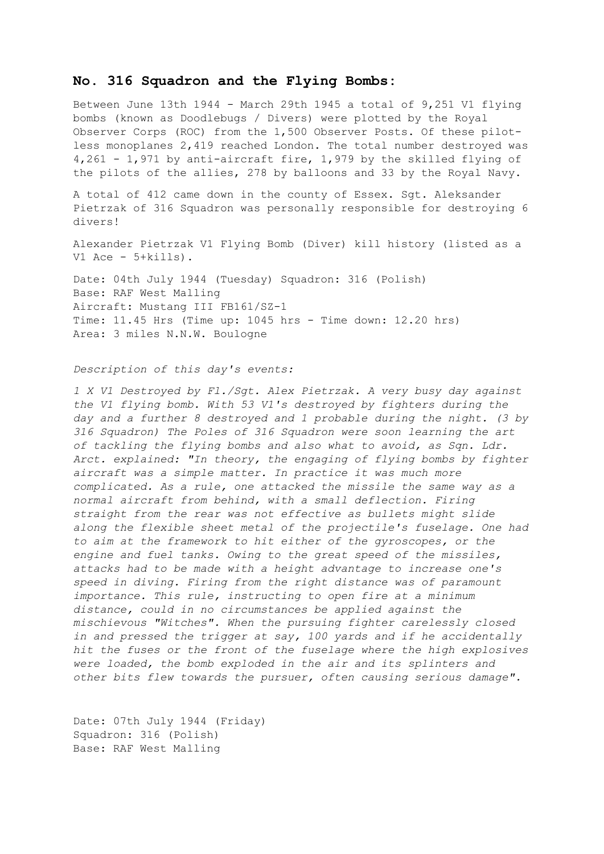## **No. 316 Squadron and the Flying Bombs:**

Between June 13th 1944 - March 29th 1945 a total of 9,251 V1 flying bombs (known as Doodlebugs / Divers) were plotted by the Royal Observer Corps (ROC) from the 1,500 Observer Posts. Of these pilotless monoplanes 2,419 reached London. The total number destroyed was 4,261 - 1,971 by anti-aircraft fire, 1,979 by the skilled flying of the pilots of the allies, 278 by balloons and 33 by the Royal Navy.

A total of 412 came down in the county of Essex. Sgt. Aleksander Pietrzak of 316 Squadron was personally responsible for destroying 6 divers!

Alexander Pietrzak V1 Flying Bomb (Diver) kill history (listed as a V1 Ace - 5+kills).

Date: 04th July 1944 (Tuesday) Squadron: 316 (Polish) Base: RAF West Malling Aircraft: Mustang III FB161/SZ-1 Time: 11.45 Hrs (Time up: 1045 hrs - Time down: 12.20 hrs) Area: 3 miles N.N.W. Boulogne

*Description of this day's events:*

*1 X V1 Destroyed by Fl./Sgt. Alex Pietrzak. A very busy day against the V1 flying bomb. With 53 V1's destroyed by fighters during the day and a further 8 destroyed and 1 probable during the night. (3 by 316 Squadron) The Poles of 316 Squadron were soon learning the art of tackling the flying bombs and also what to avoid, as Sqn. Ldr. Arct. explained: "In theory, the engaging of flying bombs by fighter aircraft was a simple matter. In practice it was much more complicated. As a rule, one attacked the missile the same way as a normal aircraft from behind, with a small deflection. Firing straight from the rear was not effective as bullets might slide along the flexible sheet metal of the projectile's fuselage. One had to aim at the framework to hit either of the gyroscopes, or the engine and fuel tanks. Owing to the great speed of the missiles, attacks had to be made with a height advantage to increase one's speed in diving. Firing from the right distance was of paramount importance. This rule, instructing to open fire at a minimum distance, could in no circumstances be applied against the mischievous "Witches". When the pursuing fighter carelessly closed in and pressed the trigger at say, 100 yards and if he accidentally hit the fuses or the front of the fuselage where the high explosives were loaded, the bomb exploded in the air and its splinters and other bits flew towards the pursuer, often causing serious damage".*

Date: 07th July 1944 (Friday) Squadron: 316 (Polish) Base: RAF West Malling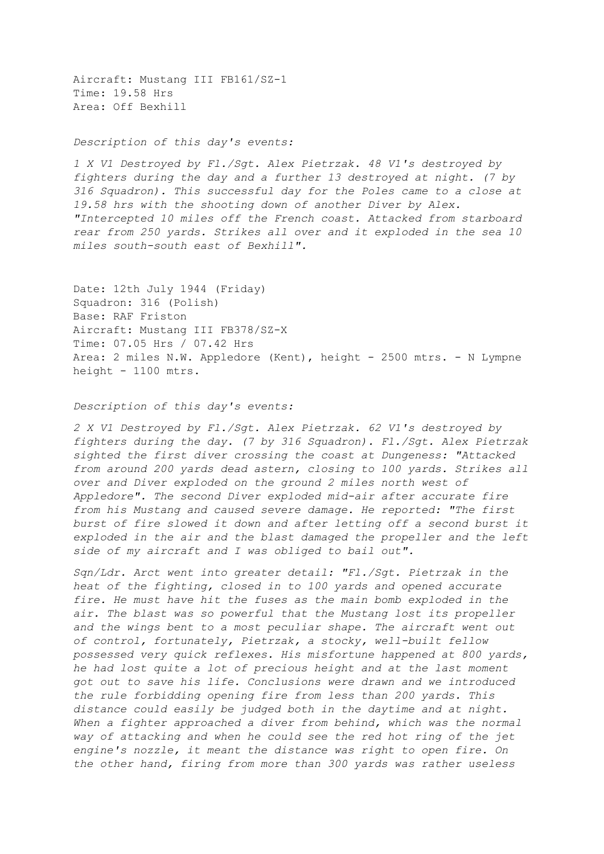Aircraft: Mustang III FB161/SZ-1 Time: 19.58 Hrs Area: Off Bexhill

## *Description of this day's events:*

*1 X V1 Destroyed by Fl./Sgt. Alex Pietrzak. 48 V1's destroyed by fighters during the day and a further 13 destroyed at night. (7 by 316 Squadron). This successful day for the Poles came to a close at 19.58 hrs with the shooting down of another Diver by Alex. "Intercepted 10 miles off the French coast. Attacked from starboard rear from 250 yards. Strikes all over and it exploded in the sea 10 miles south-south east of Bexhill".*

Date: 12th July 1944 (Friday) Squadron: 316 (Polish) Base: RAF Friston Aircraft: Mustang III FB378/SZ-X Time: 07.05 Hrs / 07.42 Hrs Area: 2 miles N.W. Appledore (Kent), height - 2500 mtrs. - N Lympne height - 1100 mtrs.

## *Description of this day's events:*

*2 X V1 Destroyed by Fl./Sgt. Alex Pietrzak. 62 V1's destroyed by fighters during the day. (7 by 316 Squadron). Fl./Sgt. Alex Pietrzak sighted the first diver crossing the coast at Dungeness: "Attacked from around 200 yards dead astern, closing to 100 yards. Strikes all over and Diver exploded on the ground 2 miles north west of Appledore". The second Diver exploded mid-air after accurate fire from his Mustang and caused severe damage. He reported: "The first burst of fire slowed it down and after letting off a second burst it exploded in the air and the blast damaged the propeller and the left side of my aircraft and I was obliged to bail out".* 

*Sqn/Ldr. Arct went into greater detail: "Fl./Sgt. Pietrzak in the heat of the fighting, closed in to 100 yards and opened accurate fire. He must have hit the fuses as the main bomb exploded in the air. The blast was so powerful that the Mustang lost its propeller and the wings bent to a most peculiar shape. The aircraft went out of control, fortunately, Pietrzak, a stocky, well-built fellow possessed very quick reflexes. His misfortune happened at 800 yards, he had lost quite a lot of precious height and at the last moment got out to save his life. Conclusions were drawn and we introduced the rule forbidding opening fire from less than 200 yards. This distance could easily be judged both in the daytime and at night. When a fighter approached a diver from behind, which was the normal way of attacking and when he could see the red hot ring of the jet engine's nozzle, it meant the distance was right to open fire. On the other hand, firing from more than 300 yards was rather useless*